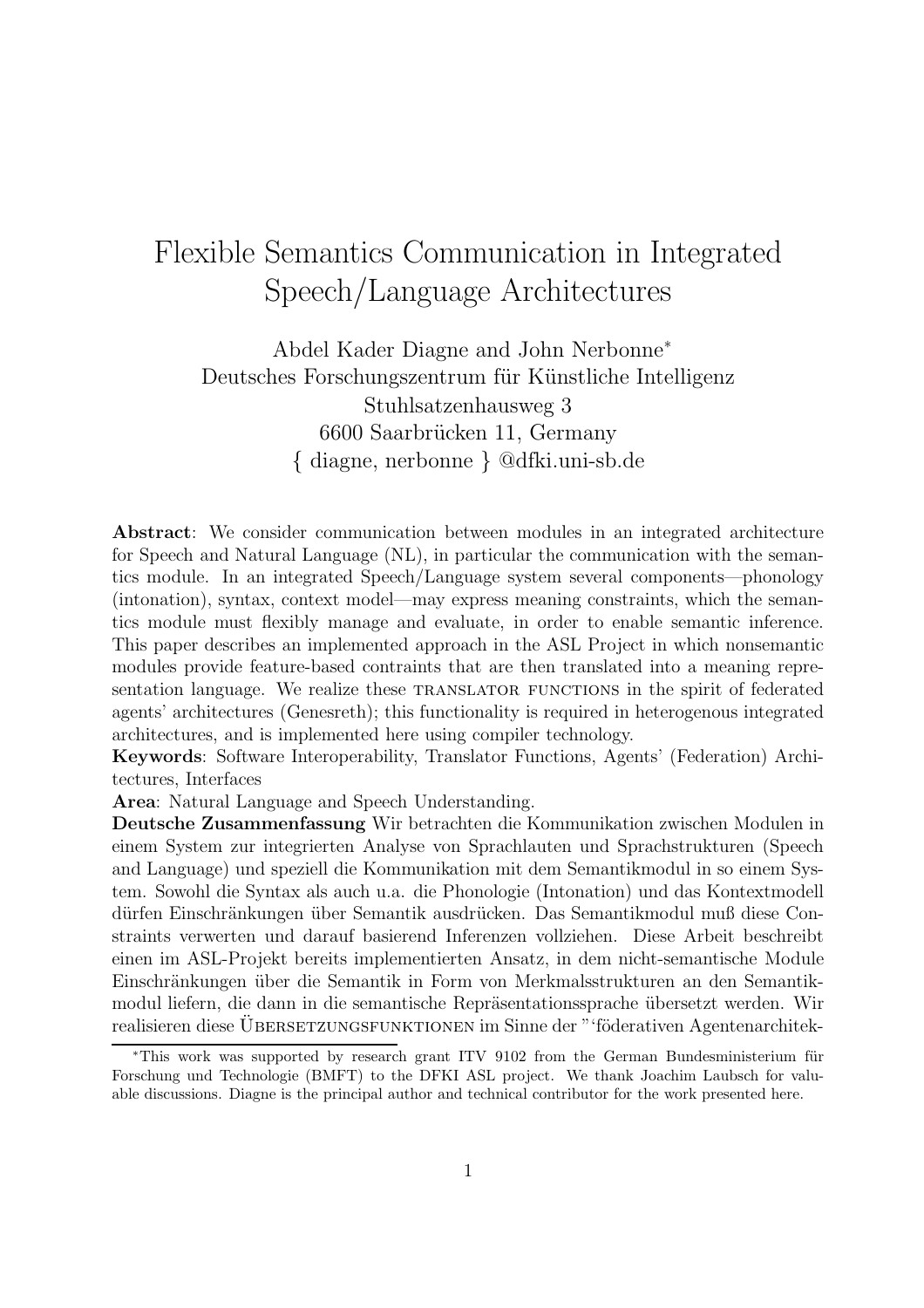# Flexible Semantics Communication in Integrated Speech/Language Architectures

Abdel Kader Diagne and John Nerbonne<sup>∗</sup> Deutsches Forschungszentrum für Künstliche Intelligenz Stuhlsatzenhausweg 3 6600 Saarbrücken 11, Germany { diagne, nerbonne } @dfki.uni-sb.de

Abstract: We consider communication between modules in an integrated architecture for Speech and Natural Language (NL), in particular the communication with the semantics module. In an integrated Speech/Language system several components—phonology (intonation), syntax, context model—may express meaning constraints, which the semantics module must flexibly manage and evaluate, in order to enable semantic inference. This paper describes an implemented approach in the ASL Project in which nonsemantic modules provide feature-based contraints that are then translated into a meaning representation language. We realize these TRANSLATOR FUNCTIONS in the spirit of federated agents' architectures (Genesreth); this functionality is required in heterogenous integrated architectures, and is implemented here using compiler technology.

Keywords: Software Interoperability, Translator Functions, Agents' (Federation) Architectures, Interfaces

Area: Natural Language and Speech Understanding.

Deutsche Zusammenfassung Wir betrachten die Kommunikation zwischen Modulen in einem System zur integrierten Analyse von Sprachlauten und Sprachstrukturen (Speech and Language) und speziell die Kommunikation mit dem Semantikmodul in so einem System. Sowohl die Syntax als auch u.a. die Phonologie (Intonation) und das Kontextmodell dürfen Einschränkungen über Semantik ausdrücken. Das Semantikmodul muß diese Constraints verwerten und darauf basierend Inferenzen vollziehen. Diese Arbeit beschreibt einen im ASL-Projekt bereits implementierten Ansatz, in dem nicht-semantische Module Einschränkungen über die Semantik in Form von Merkmalsstrukturen an den Semantikmodul liefern, die dann in die semantische Repräsentationssprache übersetzt werden. Wir realisieren diese ÜBERSETZUNGSFUNKTIONEN im Sinne der "'föderativen Agentenarchitek-

<sup>∗</sup>This work was supported by research grant ITV 9102 from the German Bundesministerium fur ¨ Forschung und Technologie (BMFT) to the DFKI ASL project. We thank Joachim Laubsch for valuable discussions. Diagne is the principal author and technical contributor for the work presented here.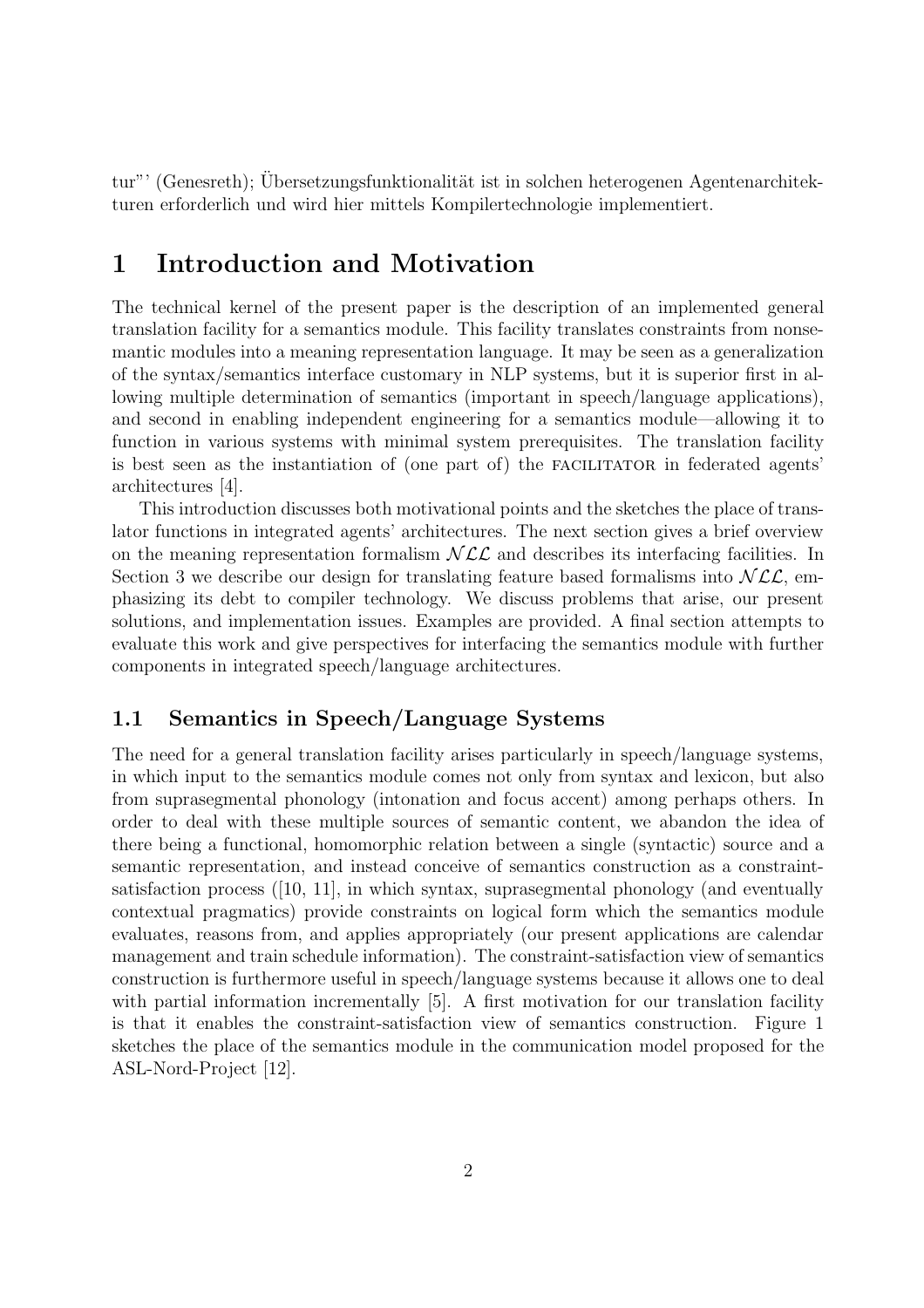tur"' (Genesreth): Übersetzungsfunktionalität ist in solchen heterogenen Agentenarchitekturen erforderlich und wird hier mittels Kompilertechnologie implementiert.

## 1 Introduction and Motivation

The technical kernel of the present paper is the description of an implemented general translation facility for a semantics module. This facility translates constraints from nonsemantic modules into a meaning representation language. It may be seen as a generalization of the syntax/semantics interface customary in NLP systems, but it is superior first in allowing multiple determination of semantics (important in speech/language applications), and second in enabling independent engineering for a semantics module—allowing it to function in various systems with minimal system prerequisites. The translation facility is best seen as the instantiation of (one part of) the FACILITATOR in federated agents' architectures [4].

This introduction discusses both motivational points and the sketches the place of translator functions in integrated agents' architectures. The next section gives a brief overview on the meaning representation formalism  $N\mathcal{LL}$  and describes its interfacing facilities. In Section 3 we describe our design for translating feature based formalisms into  $NLL$ , emphasizing its debt to compiler technology. We discuss problems that arise, our present solutions, and implementation issues. Examples are provided. A final section attempts to evaluate this work and give perspectives for interfacing the semantics module with further components in integrated speech/language architectures.

### 1.1 Semantics in Speech/Language Systems

The need for a general translation facility arises particularly in speech/language systems, in which input to the semantics module comes not only from syntax and lexicon, but also from suprasegmental phonology (intonation and focus accent) among perhaps others. In order to deal with these multiple sources of semantic content, we abandon the idea of there being a functional, homomorphic relation between a single (syntactic) source and a semantic representation, and instead conceive of semantics construction as a constraintsatisfaction process  $([10, 11],$  in which syntax, suprasegmental phonology (and eventually contextual pragmatics) provide constraints on logical form which the semantics module evaluates, reasons from, and applies appropriately (our present applications are calendar management and train schedule information). The constraint-satisfaction view of semantics construction is furthermore useful in speech/language systems because it allows one to deal with partial information incrementally [5]. A first motivation for our translation facility is that it enables the constraint-satisfaction view of semantics construction. Figure 1 sketches the place of the semantics module in the communication model proposed for the ASL-Nord-Project [12].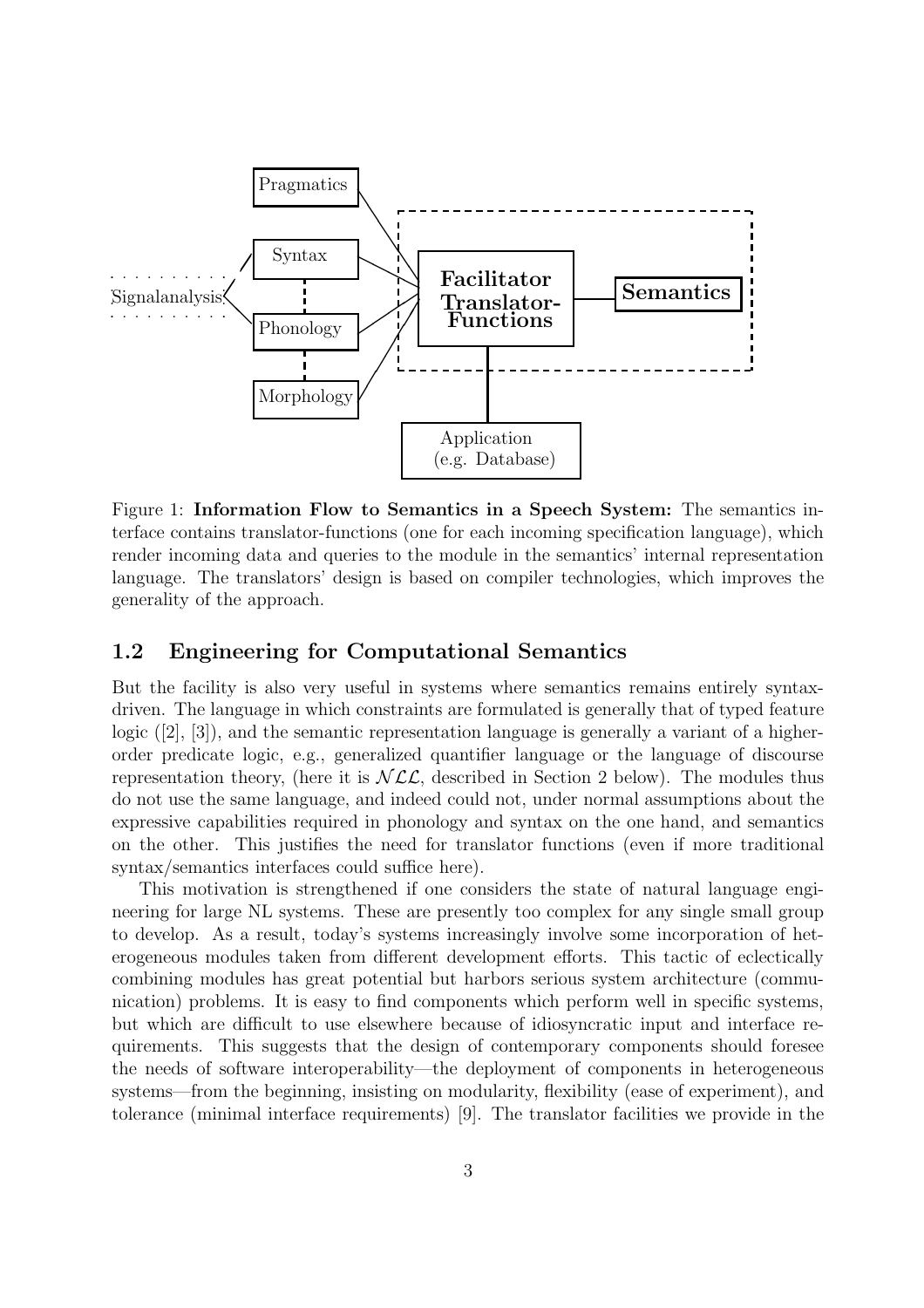

Figure 1: Information Flow to Semantics in a Speech System: The semantics interface contains translator-functions (one for each incoming specification language), which render incoming data and queries to the module in the semantics' internal representation language. The translators' design is based on compiler technologies, which improves the generality of the approach.

#### 1.2 Engineering for Computational Semantics

But the facility is also very useful in systems where semantics remains entirely syntaxdriven. The language in which constraints are formulated is generally that of typed feature logic  $([2], [3])$ , and the semantic representation language is generally a variant of a higherorder predicate logic, e.g., generalized quantifier language or the language of discourse representation theory, (here it is  $NLL$ , described in Section 2 below). The modules thus do not use the same language, and indeed could not, under normal assumptions about the expressive capabilities required in phonology and syntax on the one hand, and semantics on the other. This justifies the need for translator functions (even if more traditional syntax/semantics interfaces could suffice here).

This motivation is strengthened if one considers the state of natural language engineering for large NL systems. These are presently too complex for any single small group to develop. As a result, today's systems increasingly involve some incorporation of heterogeneous modules taken from different development efforts. This tactic of eclectically combining modules has great potential but harbors serious system architecture (communication) problems. It is easy to find components which perform well in specific systems, but which are difficult to use elsewhere because of idiosyncratic input and interface requirements. This suggests that the design of contemporary components should foresee the needs of software interoperability—the deployment of components in heterogeneous systems—from the beginning, insisting on modularity, flexibility (ease of experiment), and tolerance (minimal interface requirements) [9]. The translator facilities we provide in the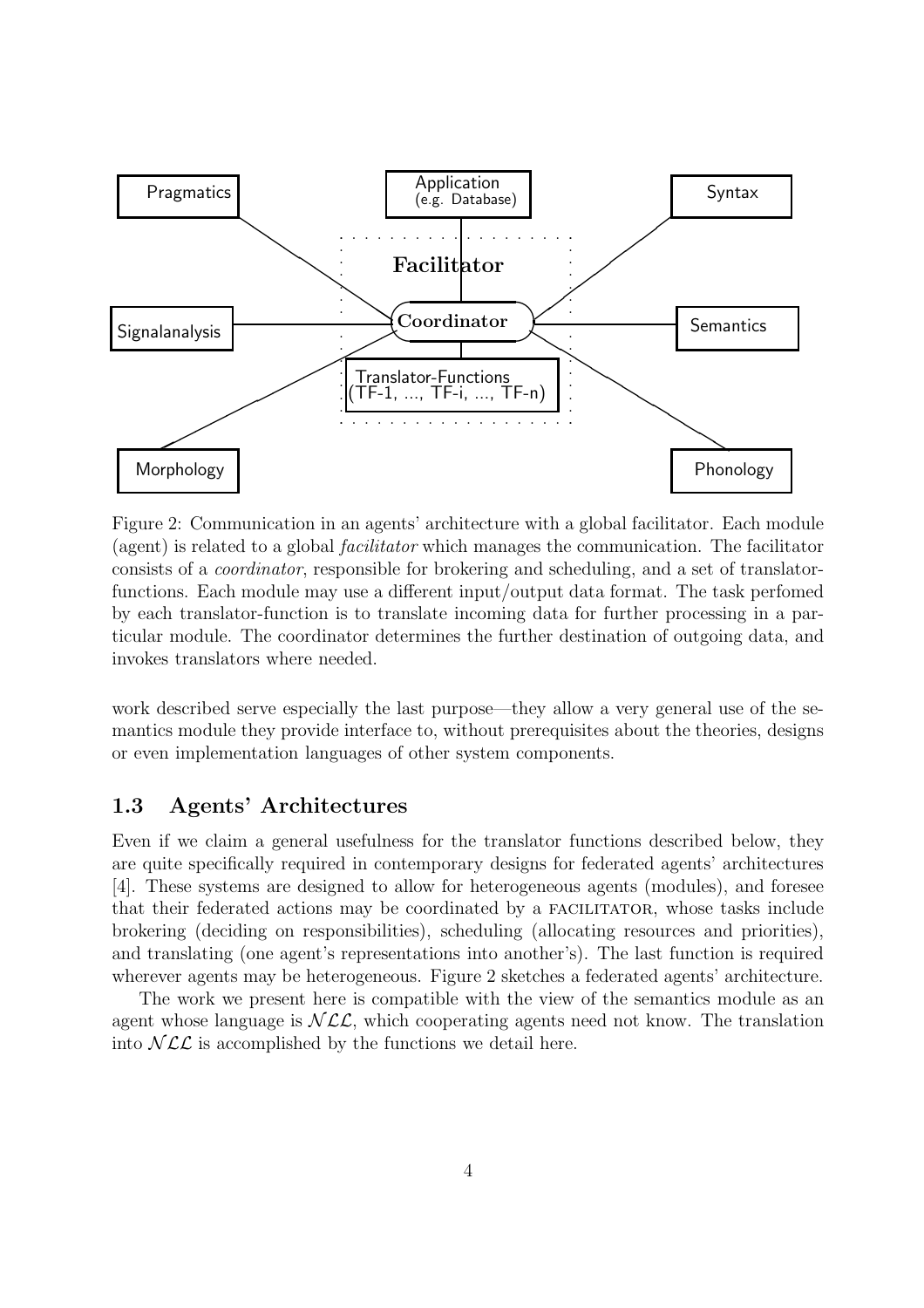

Figure 2: Communication in an agents' architecture with a global facilitator. Each module (agent) is related to a global facilitator which manages the communication. The facilitator consists of a coordinator, responsible for brokering and scheduling, and a set of translatorfunctions. Each module may use a different input/output data format. The task perfomed by each translator-function is to translate incoming data for further processing in a particular module. The coordinator determines the further destination of outgoing data, and invokes translators where needed.

work described serve especially the last purpose—they allow a very general use of the semantics module they provide interface to, without prerequisites about the theories, designs or even implementation languages of other system components.

#### 1.3 Agents' Architectures

Even if we claim a general usefulness for the translator functions described below, they are quite specifically required in contemporary designs for federated agents' architectures [4]. These systems are designed to allow for heterogeneous agents (modules), and foresee that their federated actions may be coordinated by a facilitator, whose tasks include brokering (deciding on responsibilities), scheduling (allocating resources and priorities), and translating (one agent's representations into another's). The last function is required wherever agents may be heterogeneous. Figure 2 sketches a federated agents' architecture.

The work we present here is compatible with the view of the semantics module as an agent whose language is  $NLL$ , which cooperating agents need not know. The translation into  $NLL$  is accomplished by the functions we detail here.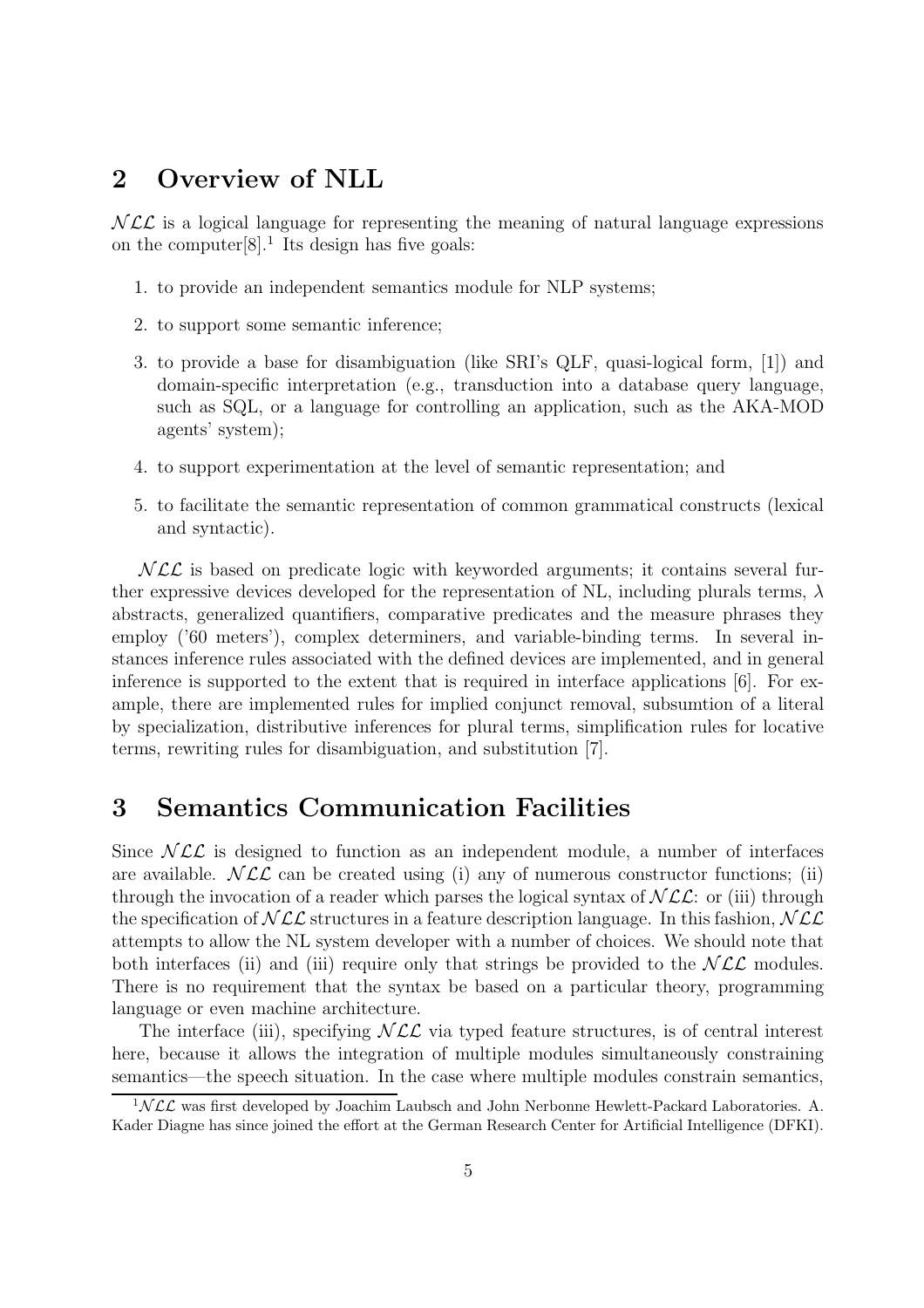## 2 Overview of NLL

 $NLL$  is a logical language for representing the meaning of natural language expressions on the computer $[8]$ .<sup>1</sup> Its design has five goals:

- 1. to provide an independent semantics module for NLP systems;
- 2. to support some semantic inference;
- 3. to provide a base for disambiguation (like SRI's QLF, quasi-logical form, [1]) and domain-specific interpretation (e.g., transduction into a database query language, such as SQL, or a language for controlling an application, such as the AKA-MOD agents' system);
- 4. to support experimentation at the level of semantic representation; and
- 5. to facilitate the semantic representation of common grammatical constructs (lexical and syntactic).

 $NLL$  is based on predicate logic with keyworded arguments; it contains several further expressive devices developed for the representation of NL, including plurals terms,  $\lambda$ abstracts, generalized quantifiers, comparative predicates and the measure phrases they employ ('60 meters'), complex determiners, and variable-binding terms. In several instances inference rules associated with the defined devices are implemented, and in general inference is supported to the extent that is required in interface applications [6]. For example, there are implemented rules for implied conjunct removal, subsumtion of a literal by specialization, distributive inferences for plural terms, simplification rules for locative terms, rewriting rules for disambiguation, and substitution [7].

## 3 Semantics Communication Facilities

Since  $NCL$  is designed to function as an independent module, a number of interfaces are available.  $NCL$  can be created using (i) any of numerous constructor functions; (ii) through the invocation of a reader which parses the logical syntax of  $NCL$ : or (iii) through the specification of  $NLL$  structures in a feature description language. In this fashion,  $NLL$ attempts to allow the NL system developer with a number of choices. We should note that both interfaces (ii) and (iii) require only that strings be provided to the  $NLL$  modules. There is no requirement that the syntax be based on a particular theory, programming language or even machine architecture.

The interface (iii), specifying  $NCL$  via typed feature structures, is of central interest here, because it allows the integration of multiple modules simultaneously constraining semantics—the speech situation. In the case where multiple modules constrain semantics,

 $1NLL$  was first developed by Joachim Laubsch and John Nerbonne Hewlett-Packard Laboratories. A. Kader Diagne has since joined the effort at the German Research Center for Artificial Intelligence (DFKI).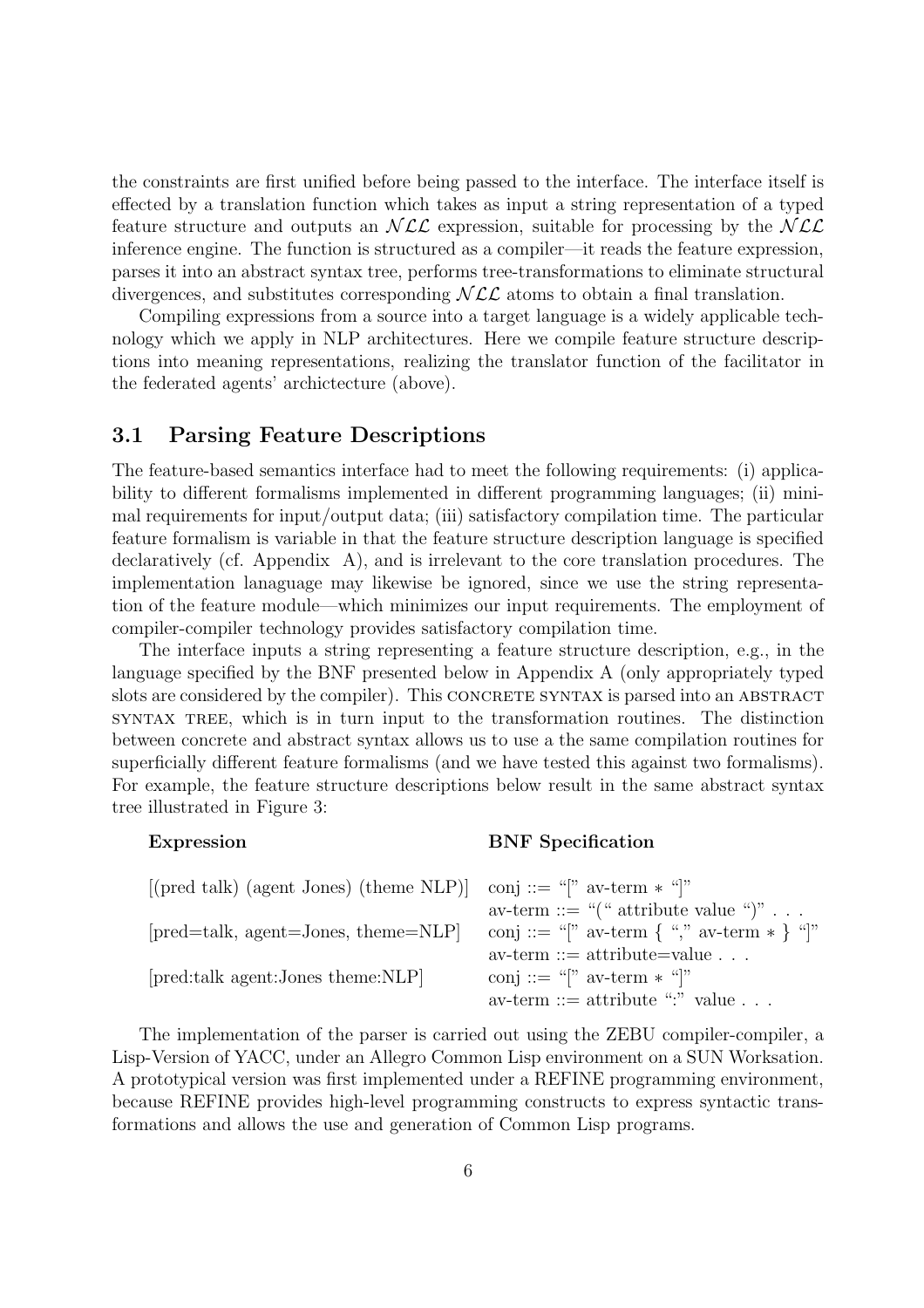the constraints are first unified before being passed to the interface. The interface itself is effected by a translation function which takes as input a string representation of a typed feature structure and outputs an  $NLL$  expression, suitable for processing by the  $NLL$ inference engine. The function is structured as a compiler—it reads the feature expression, parses it into an abstract syntax tree, performs tree-transformations to eliminate structural divergences, and substitutes corresponding  $NLL$  atoms to obtain a final translation.

Compiling expressions from a source into a target language is a widely applicable technology which we apply in NLP architectures. Here we compile feature structure descriptions into meaning representations, realizing the translator function of the facilitator in the federated agents' archictecture (above).

#### 3.1 Parsing Feature Descriptions

The feature-based semantics interface had to meet the following requirements: (i) applicability to different formalisms implemented in different programming languages; (ii) minimal requirements for input/output data; (iii) satisfactory compilation time. The particular feature formalism is variable in that the feature structure description language is specified declaratively (cf. Appendix A), and is irrelevant to the core translation procedures. The implementation lanaguage may likewise be ignored, since we use the string representation of the feature module—which minimizes our input requirements. The employment of compiler-compiler technology provides satisfactory compilation time.

The interface inputs a string representing a feature structure description, e.g., in the language specified by the BNF presented below in Appendix A (only appropriately typed slots are considered by the compiler). This CONCRETE SYNTAX is parsed into an ABSTRACT syntax tree, which is in turn input to the transformation routines. The distinction between concrete and abstract syntax allows us to use a the same compilation routines for superficially different feature formalisms (and we have tested this against two formalisms). For example, the feature structure descriptions below result in the same abstract syntax tree illustrated in Figure 3:

#### Expression BNF Specification

| [(pred talk) (agent Jones) (theme NLP)] conj ::= "[" av-term $*$ "[" |                                            |
|----------------------------------------------------------------------|--------------------------------------------|
|                                                                      | av-term ::= "(" attribute value ")"        |
| [pred=talk, agent=Jones, theme=NLP]                                  | conj ::= "[" av-term { "," av-term * } "]" |
|                                                                      | $av-term ::= attribute = value \dots$      |
| [pred:talk agent:Jones theme:NLP]                                    | conj ::= "[" av-term $*$ "]"               |
|                                                                      | av-term ::= attribute ":" value            |

The implementation of the parser is carried out using the ZEBU compiler-compiler, a Lisp-Version of YACC, under an Allegro Common Lisp environment on a SUN Worksation. A prototypical version was first implemented under a REFINE programming environment, because REFINE provides high-level programming constructs to express syntactic transformations and allows the use and generation of Common Lisp programs.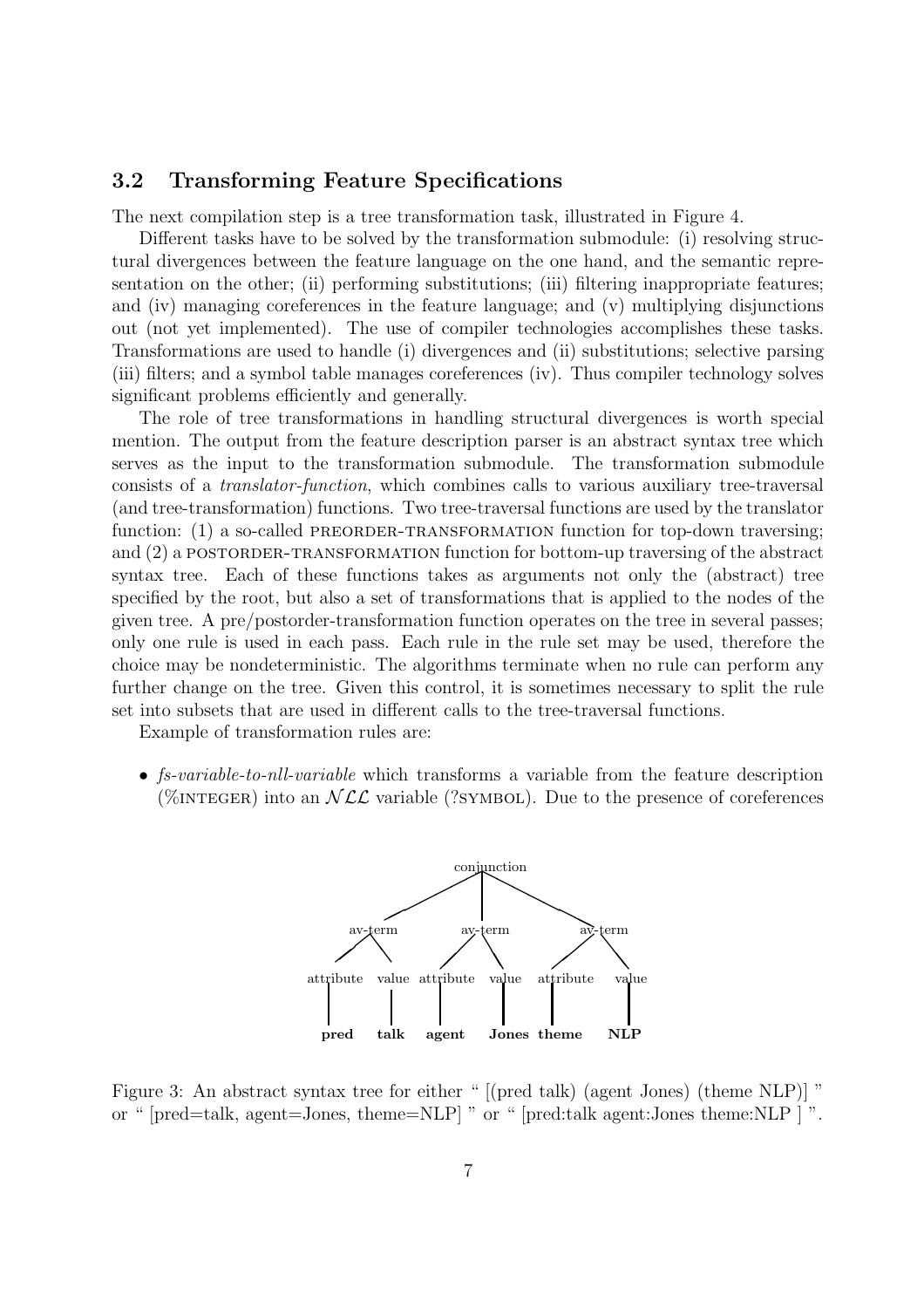#### 3.2 Transforming Feature Specifications

The next compilation step is a tree transformation task, illustrated in Figure 4.

Different tasks have to be solved by the transformation submodule: (i) resolving structural divergences between the feature language on the one hand, and the semantic representation on the other; (ii) performing substitutions; (iii) filtering inappropriate features; and (iv) managing coreferences in the feature language; and (v) multiplying disjunctions out (not yet implemented). The use of compiler technologies accomplishes these tasks. Transformations are used to handle (i) divergences and (ii) substitutions; selective parsing (iii) filters; and a symbol table manages coreferences (iv). Thus compiler technology solves significant problems efficiently and generally.

The role of tree transformations in handling structural divergences is worth special mention. The output from the feature description parser is an abstract syntax tree which serves as the input to the transformation submodule. The transformation submodule consists of a translator-function, which combines calls to various auxiliary tree-traversal (and tree-transformation) functions. Two tree-traversal functions are used by the translator function: (1) a so-called PREORDER-TRANSFORMATION function for top-down traversing; and (2) a POSTORDER-TRANSFORMATION function for bottom-up traversing of the abstract syntax tree. Each of these functions takes as arguments not only the (abstract) tree specified by the root, but also a set of transformations that is applied to the nodes of the given tree. A pre/postorder-transformation function operates on the tree in several passes; only one rule is used in each pass. Each rule in the rule set may be used, therefore the choice may be nondeterministic. The algorithms terminate when no rule can perform any further change on the tree. Given this control, it is sometimes necessary to split the rule set into subsets that are used in different calls to the tree-traversal functions.

Example of transformation rules are:

• fs-variable-to-nll-variable which transforms a variable from the feature description (%INTEGER) into an  $NCL$  variable (?SYMBOL). Due to the presence of coreferences



Figure 3: An abstract syntax tree for either " [(pred talk) (agent Jones) (theme NLP)] " or " [pred=talk, agent=Jones, theme=NLP] " or " [pred:talk agent:Jones theme:NLP ] ".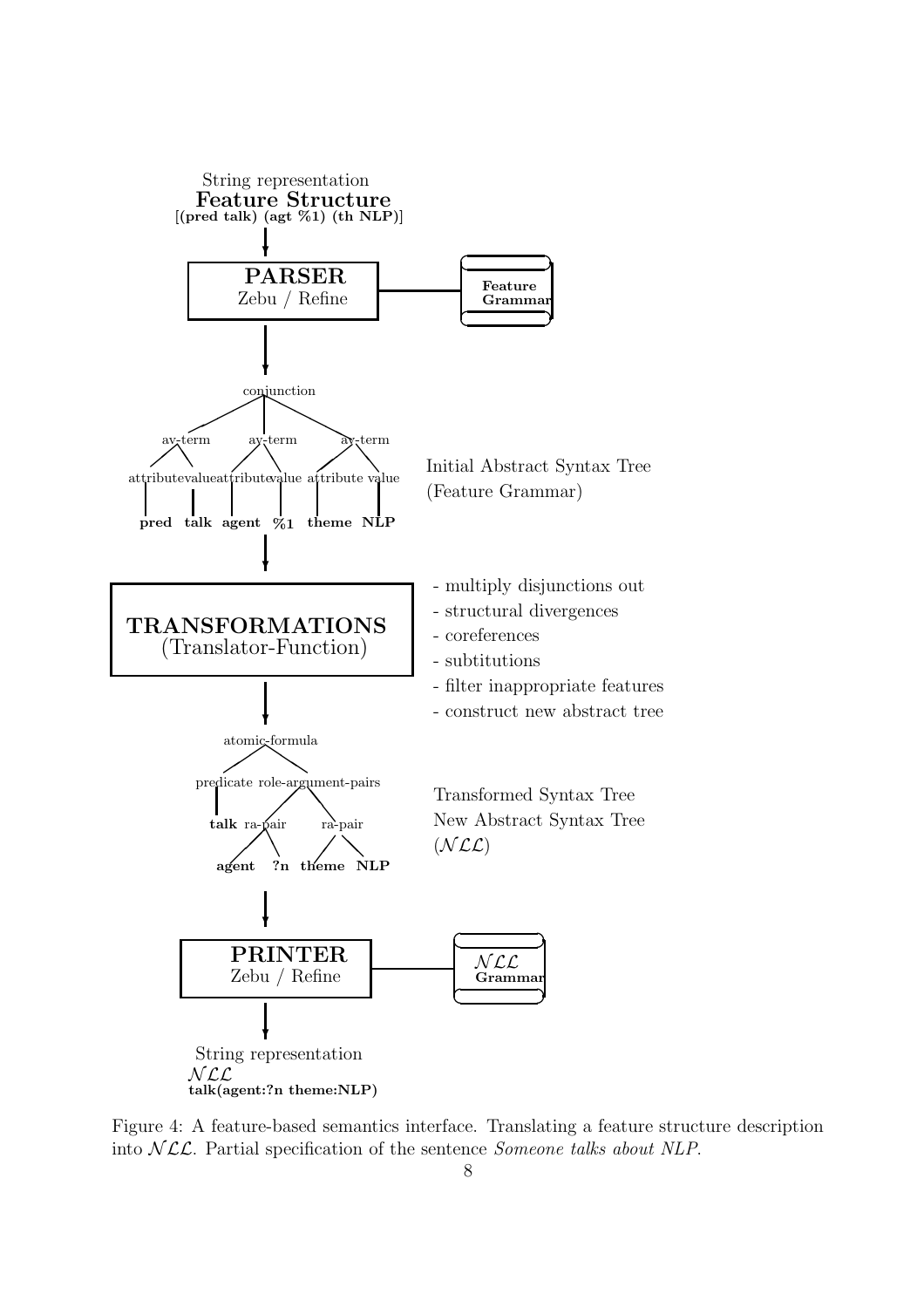

Figure 4: A feature-based semantics interface. Translating a feature structure description into  $NLL$ . Partial specification of the sentence *Someone talks about NLP*.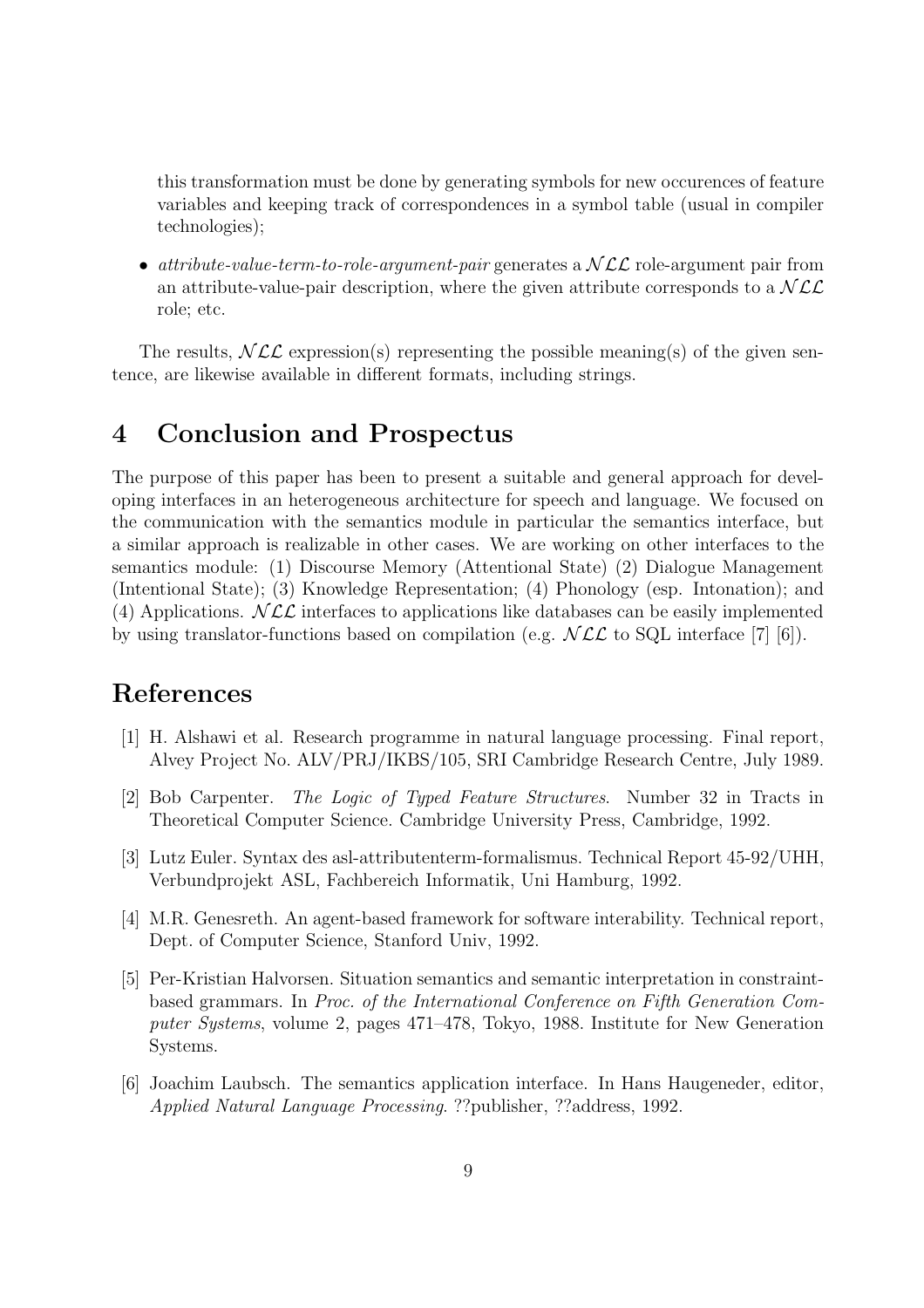this transformation must be done by generating symbols for new occurences of feature variables and keeping track of correspondences in a symbol table (usual in compiler technologies);

• attribute-value-term-to-role-argument-pair generates a  $NCL$  role-argument pair from an attribute-value-pair description, where the given attribute corresponds to a  $NCL$ role; etc.

The results,  $NLL$  expression(s) representing the possible meaning(s) of the given sentence, are likewise available in different formats, including strings.

## 4 Conclusion and Prospectus

The purpose of this paper has been to present a suitable and general approach for developing interfaces in an heterogeneous architecture for speech and language. We focused on the communication with the semantics module in particular the semantics interface, but a similar approach is realizable in other cases. We are working on other interfaces to the semantics module: (1) Discourse Memory (Attentional State) (2) Dialogue Management (Intentional State); (3) Knowledge Representation; (4) Phonology (esp. Intonation); and (4) Applications.  $NCL$  interfaces to applications like databases can be easily implemented by using translator-functions based on compilation (e.g.  $NLL$  to SQL interface [7] [6]).

## References

- [1] H. Alshawi et al. Research programme in natural language processing. Final report, Alvey Project No. ALV/PRJ/IKBS/105, SRI Cambridge Research Centre, July 1989.
- [2] Bob Carpenter. The Logic of Typed Feature Structures. Number 32 in Tracts in Theoretical Computer Science. Cambridge University Press, Cambridge, 1992.
- [3] Lutz Euler. Syntax des asl-attributenterm-formalismus. Technical Report 45-92/UHH, Verbundprojekt ASL, Fachbereich Informatik, Uni Hamburg, 1992.
- [4] M.R. Genesreth. An agent-based framework for software interability. Technical report, Dept. of Computer Science, Stanford Univ, 1992.
- [5] Per-Kristian Halvorsen. Situation semantics and semantic interpretation in constraintbased grammars. In Proc. of the International Conference on Fifth Generation Computer Systems, volume 2, pages 471–478, Tokyo, 1988. Institute for New Generation Systems.
- [6] Joachim Laubsch. The semantics application interface. In Hans Haugeneder, editor, Applied Natural Language Processing. ??publisher, ??address, 1992.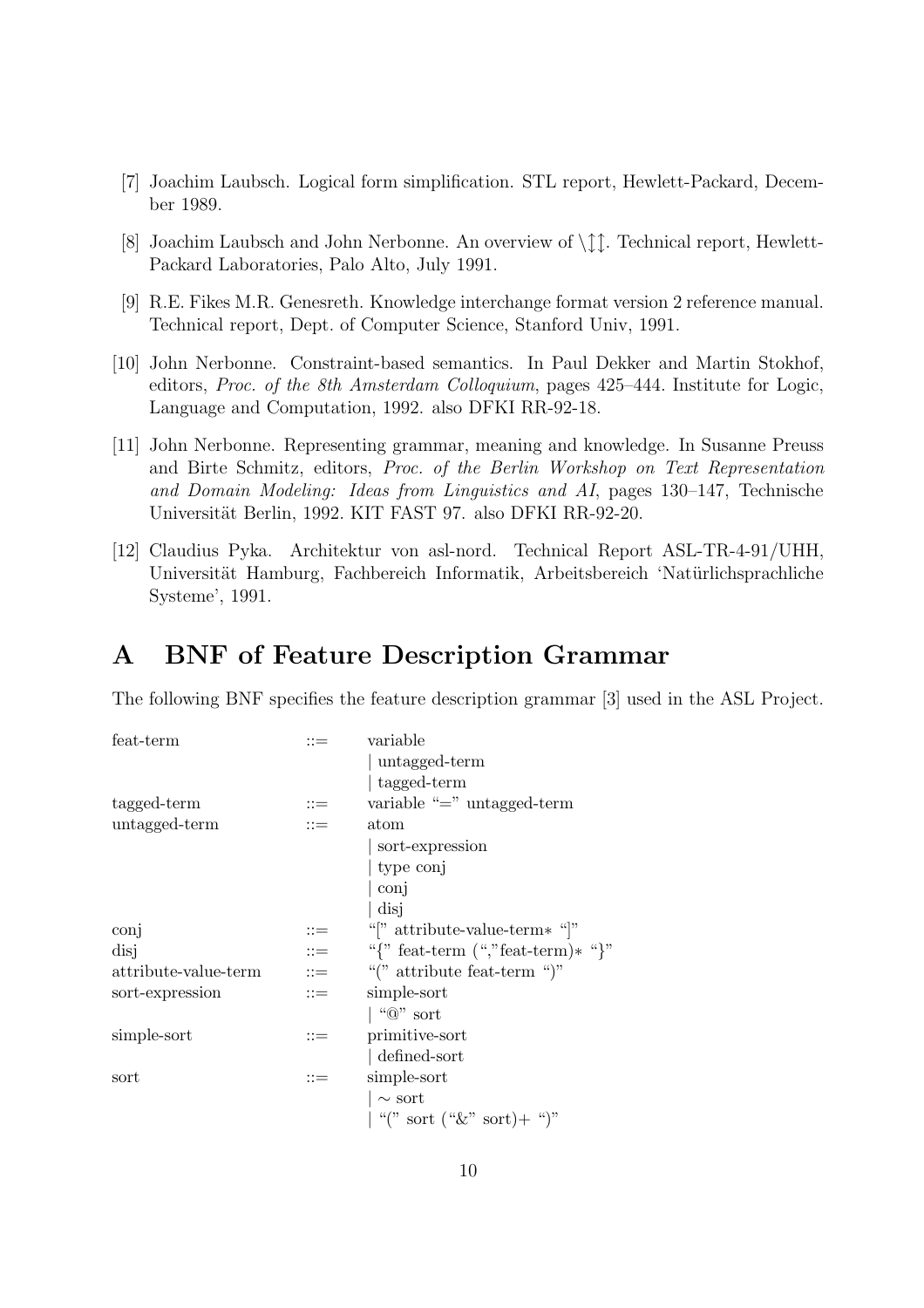- [7] Joachim Laubsch. Logical form simplification. STL report, Hewlett-Packard, December 1989.
- [8] Joachim Laubsch and John Nerbonne. An overview of  $\int_{\Lambda}^{x}$ . Technical report, Hewlett-Packard Laboratories, Palo Alto, July 1991.
- [9] R.E. Fikes M.R. Genesreth. Knowledge interchange format version 2 reference manual. Technical report, Dept. of Computer Science, Stanford Univ, 1991.
- [10] John Nerbonne. Constraint-based semantics. In Paul Dekker and Martin Stokhof, editors, Proc. of the 8th Amsterdam Colloquium, pages 425–444. Institute for Logic, Language and Computation, 1992. also DFKI RR-92-18.
- [11] John Nerbonne. Representing grammar, meaning and knowledge. In Susanne Preuss and Birte Schmitz, editors, Proc. of the Berlin Workshop on Text Representation and Domain Modeling: Ideas from Linguistics and AI, pages 130–147, Technische Universität Berlin, 1992. KIT FAST 97. also DFKI RR-92-20.
- [12] Claudius Pyka. Architektur von asl-nord. Technical Report ASL-TR-4-91/UHH, Universität Hamburg, Fachbereich Informatik, Arbeitsbereich 'Natürlichsprachliche Systeme', 1991.

## A BNF of Feature Description Grammar

The following BNF specifies the feature description grammar [3] used in the ASL Project.

| feat-term            | $::=$                     | variable                                      |  |
|----------------------|---------------------------|-----------------------------------------------|--|
|                      |                           | untagged-term                                 |  |
|                      |                           | tagged-term                                   |  |
| tagged-term          | $::=$                     | variable " $=$ " untagged-term                |  |
| untagged-term        | $\mathbf{r} =$            | atom                                          |  |
|                      |                           | sort-expression                               |  |
|                      |                           | type conj                                     |  |
|                      |                           | conj                                          |  |
|                      |                           | disj                                          |  |
| conj                 | $::=$                     | "[" attribute-value-term $*$ "]"              |  |
| disj                 | $\mathbf{H} = \mathbf{H}$ | "{" feat-term $(\cdot$ ", "feat-term $*\$ "}" |  |
| attribute-value-term | $\mathbf{H} = \mathbf{H}$ | "(" attribute feat-term ")"                   |  |
| sort-expression      | $\mathrel{\mathop:}=$     | simple-sort                                   |  |
|                      |                           | $\vert$ " $\circledcirc$ " sort               |  |
| simple-sort          | $::=$                     | primitive-sort                                |  |
|                      |                           | defined-sort                                  |  |
| sort                 | $::=$                     | simple-sort                                   |  |
|                      |                           | $\sim$ sort                                   |  |
|                      |                           | $\vert$ "(" sort (" $\&$ " sort)+ ")"         |  |
|                      |                           |                                               |  |